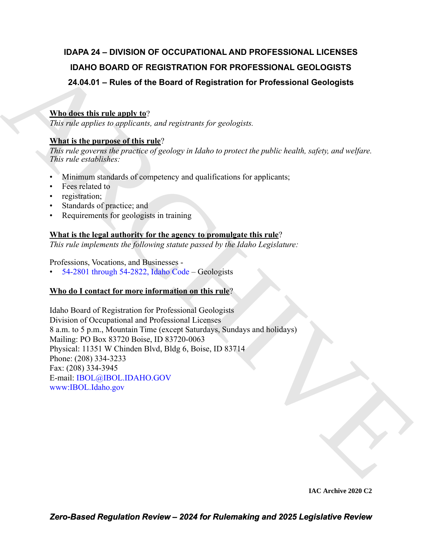# **IDAPA 24 – DIVISION OF OCCUPATIONAL AND PROFESSIONAL LICENSES IDAHO BOARD OF REGISTRATION FOR PROFESSIONAL GEOLOGISTS 24.04.01 – Rules of the Board of Registration for Professional Geologists**

## **Who does this rule apply to**?

*This rule applies to applicants, and registrants for geologists.*

### **What is the purpose of this rule**?

*This rule governs the practice of geology in Idaho to protect the public health, safety, and welfare. This rule establishes:*

- Minimum standards of competency and qualifications for applicants;
- Fees related to
- registration;
- Standards of practice; and
- Requirements for geologists in training

### **What is the legal authority for the agency to promulgate this rule**?

*This rule implements the following statute passed by the Idaho Legislature:*

Professions, Vocations, and Businesses -

• 54-2801 through 54-2822, Idaho Code – Geologists

### **Who do I contact for more information on this rule**?

IDAHO BOARD OF R[E](http://www.ibol.idaho.gov/)GISTRATION FOR PROFESSIONAL GEOLOGISTS<br>
24.04.01 – Rules of the Board of Registration for Professional Geologists<br>
What the the margin  $W^2$ ,  $W^2$  is the proposal of the probability<br>
The rate of the rati Idaho Board of Registration for Professional Geologists Division of Occupational and Professional Licenses 8 a.m. to 5 p.m., Mountain Time (except Saturdays, Sundays and holidays) Mailing: PO Box 83720 Boise, ID 83720-0063 Physical: 11351 W Chinden Blvd, Bldg 6, Boise, ID 83714 Phone: (208) 334-3233 Fax: (208) 334-3945 E-mail: IBOL@IBOL.IDAHO.GOV www:IBOL.Idaho.gov

**IAC Archive 2020 C2**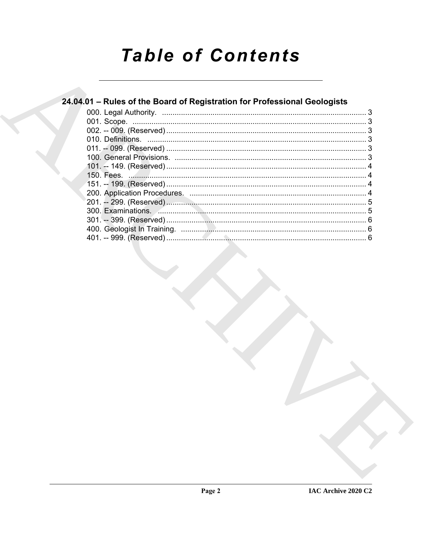# **Table of Contents**

# 24.04.01 - Rules of the Board of Registration for Professional Geologists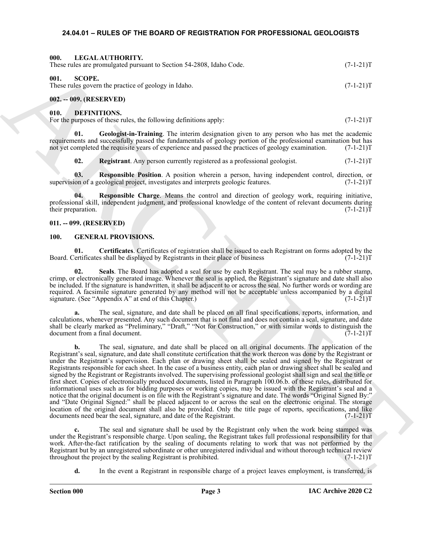#### <span id="page-2-15"></span><span id="page-2-0"></span>**24.04.01 – RULES OF THE BOARD OF REGISTRATION FOR PROFESSIONAL GEOLOGISTS**

<span id="page-2-16"></span><span id="page-2-2"></span><span id="page-2-1"></span>

| 000.<br>LEGAL AUTHORITY.<br>These rules are promulgated pursuant to Section 54-2808, Idaho Code. | $(7-1-21)T$ |
|--------------------------------------------------------------------------------------------------|-------------|
| 001.<br>SCOPE.<br>These rules govern the practice of geology in Idaho.                           | $(7-1-21)T$ |
| $002. - 009.$ (RESERVED)                                                                         |             |

<span id="page-2-7"></span><span id="page-2-4"></span><span id="page-2-3"></span>**010. DEFINITIONS.**

For the purposes of these rules, the following definitions apply:  $(7-1-21)$ T

**01. Geologist-in-Training**. The interim designation given to any person who has met the academic requirements and successfully passed the fundamentals of geology portion of the professional examination but has not yet completed the requisite years of experience and passed the practices of geology examination. (7-1-21) not yet completed the requisite years of experience and passed the practices of geology examination.

<span id="page-2-11"></span><span id="page-2-10"></span><span id="page-2-9"></span><span id="page-2-8"></span>**02. Registrant**. Any person currently registered as a professional geologist.  $(7-1-21)T$ 

**03. Responsible Position**. A position wherein a person, having independent control, direction, or supervision of a geological project, investigates and interprets geologic features. (7-1-21)T

**04. Responsible Charge**. Means the control and direction of geology work, requiring initiative, professional skill, independent judgment, and professional knowledge of the content of relevant documents during<br>(7-1-21)T their preparation.

#### <span id="page-2-5"></span>**011. -- 099. (RESERVED)**

#### <span id="page-2-12"></span><span id="page-2-6"></span>**100. GENERAL PROVISIONS.**

<span id="page-2-13"></span>**01. Certificates**. Certificates of registration shall be issued to each Registrant on forms adopted by the Board. Certificates shall be displayed by Registrants in their place of business (7-1-21)T

<span id="page-2-14"></span>**02. Seals**. The Board has adopted a seal for use by each Registrant. The seal may be a rubber stamp, crimp, or electronically generated image. Whenever the seal is applied, the Registrant's signature and date shall also be included. If the signature is handwritten, it shall be adjacent to or across the seal. No further words or wording are required. A facsimile signature generated by any method will not be acceptable unless accompanied by a digital signature. (See "Appendix A" at end of this Chapter.) (7-1-21)T

**a.** The seal, signature, and date shall be placed on all final specifications, reports, information, and calculations, whenever presented. Any such document that is not final and does not contain a seal, signature, and date shall be clearly marked as "Preliminary," "Draft," "Not for Construction," or with similar words to distinguish the document from a final document. (7-1-21)T

Here shows procedure of a Solaris 3-2-2018, both Cock,<br>
(C-1-2117<br>
Here and the special state and the special state of a system of the special state and the special state and the special state and the special state and th **b.** The seal, signature, and date shall be placed on all original documents. The application of the Registrant's seal, signature, and date shall constitute certification that the work thereon was done by the Registrant or under the Registrant's supervision. Each plan or drawing sheet shall be sealed and signed by the Registrant or Registrants responsible for each sheet. In the case of a business entity, each plan or drawing sheet shall be sealed and signed by the Registrant or Registrants involved. The supervising professional geologist shall sign and seal the title or first sheet. Copies of electronically produced documents, listed in Paragraph 100.06.b. of these rules, distributed for informational uses such as for bidding purposes or working copies, may be issued with the Registrant's seal and a notice that the original document is on file with the Registrant's signature and date. The words "Original Signed By:" and "Date Original Signed:" shall be placed adjacent to or across the seal on the electronic original. The storage location of the original document shall also be provided. Only the title page of reports, specifications, and like documents need bear the seal, signature, and date of the Registrant. (7-1-21)T

**c.** The seal and signature shall be used by the Registrant only when the work being stamped was under the Registrant's responsible charge. Upon sealing, the Registrant takes full professional responsibility for that work. After-the-fact ratification by the sealing of documents relating to work that was not performed by the Registrant but by an unregistered subordinate or other unregistered individual and without thorough technical review throughout the project by the sealing Registrant is prohibited. (7-1-21)T

**d.** In the event a Registrant in responsible charge of a project leaves employment, is transferred, is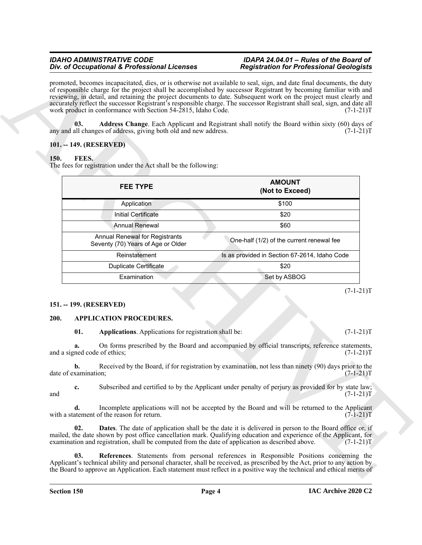#### *IDAHO ADMINISTRATIVE CODE IDAPA 24.04.01 – Rules of the Board of Div. of Occupational & Professional Licenses*

#### <span id="page-3-9"></span><span id="page-3-0"></span>**101. -- 149. (RESERVED)**

#### <span id="page-3-8"></span><span id="page-3-1"></span>**150. FEES.**

| promoted, becomes incapacitated, dies, or is otherwise not available to seal, sign, and date final documents, the duty<br>of responsible charge for the project shall be accomplished by successor Registrant by becoming familiar with and                                                                                     |                                                                                                  |                                                                                                                                                                                                                                                   |  |  |
|---------------------------------------------------------------------------------------------------------------------------------------------------------------------------------------------------------------------------------------------------------------------------------------------------------------------------------|--------------------------------------------------------------------------------------------------|---------------------------------------------------------------------------------------------------------------------------------------------------------------------------------------------------------------------------------------------------|--|--|
| reviewing, in detail, and retaining the project documents to date. Subsequent work on the project must clearly and<br>accurately reflect the successor Registrant's responsible charge. The successor Registrant shall seal, sign, and date all<br>work product in conformance with Section 54-2815, Idaho Code.<br>$(7-1-21)T$ |                                                                                                  |                                                                                                                                                                                                                                                   |  |  |
|                                                                                                                                                                                                                                                                                                                                 |                                                                                                  |                                                                                                                                                                                                                                                   |  |  |
| 101. -- 149. (RESERVED)                                                                                                                                                                                                                                                                                                         |                                                                                                  | $(7-1-21)T$                                                                                                                                                                                                                                       |  |  |
| 150.<br>FEES.                                                                                                                                                                                                                                                                                                                   |                                                                                                  |                                                                                                                                                                                                                                                   |  |  |
|                                                                                                                                                                                                                                                                                                                                 | The fees for registration under the Act shall be the following:                                  |                                                                                                                                                                                                                                                   |  |  |
|                                                                                                                                                                                                                                                                                                                                 |                                                                                                  | <b>AMOUNT</b>                                                                                                                                                                                                                                     |  |  |
|                                                                                                                                                                                                                                                                                                                                 | <b>FEE TYPE</b>                                                                                  | (Not to Exceed)                                                                                                                                                                                                                                   |  |  |
|                                                                                                                                                                                                                                                                                                                                 | Application                                                                                      | \$100                                                                                                                                                                                                                                             |  |  |
|                                                                                                                                                                                                                                                                                                                                 | <b>Initial Certificate</b>                                                                       | \$20                                                                                                                                                                                                                                              |  |  |
|                                                                                                                                                                                                                                                                                                                                 | <b>Annual Renewal</b>                                                                            | \$60                                                                                                                                                                                                                                              |  |  |
|                                                                                                                                                                                                                                                                                                                                 | <b>Annual Renewal for Registrants</b><br>Seventy (70) Years of Age or Older                      | One-half (1/2) of the current renewal fee                                                                                                                                                                                                         |  |  |
|                                                                                                                                                                                                                                                                                                                                 | Reinstatement                                                                                    | Is as provided in Section 67-2614, Idaho Code                                                                                                                                                                                                     |  |  |
|                                                                                                                                                                                                                                                                                                                                 | <b>Duplicate Certificate</b>                                                                     | \$20                                                                                                                                                                                                                                              |  |  |
|                                                                                                                                                                                                                                                                                                                                 | Examination                                                                                      | Set by ASBOG                                                                                                                                                                                                                                      |  |  |
|                                                                                                                                                                                                                                                                                                                                 |                                                                                                  | $(7-1-21)T$                                                                                                                                                                                                                                       |  |  |
| 151. -- 199. (RESERVED)<br>200.                                                                                                                                                                                                                                                                                                 | <b>APPLICATION PROCEDURES.</b>                                                                   |                                                                                                                                                                                                                                                   |  |  |
| 01.                                                                                                                                                                                                                                                                                                                             | Applications. Applications for registration shall be:                                            | $(7-1-21)T$                                                                                                                                                                                                                                       |  |  |
| a.<br>and a signed code of ethics;                                                                                                                                                                                                                                                                                              |                                                                                                  | On forms prescribed by the Board and accompanied by official transcripts, reference statements,<br>$(7-1-21)T$                                                                                                                                    |  |  |
| b.<br>date of examination;                                                                                                                                                                                                                                                                                                      |                                                                                                  | Received by the Board, if for registration by examination, not less than ninety (90) days prior to the<br>$(7-1-21)T$                                                                                                                             |  |  |
| c.                                                                                                                                                                                                                                                                                                                              |                                                                                                  | Subscribed and certified to by the Applicant under penalty of perjury as provided for by state law;<br>$(7-1-21)T$                                                                                                                                |  |  |
|                                                                                                                                                                                                                                                                                                                                 |                                                                                                  | Incomplete applications will not be accepted by the Board and will be returned to the Applicant                                                                                                                                                   |  |  |
| d.                                                                                                                                                                                                                                                                                                                              | with a statement of the reason for return.                                                       | $(7-1-21)T$                                                                                                                                                                                                                                       |  |  |
| and<br>02.                                                                                                                                                                                                                                                                                                                      | examination and registration, shall be computed from the date of application as described above. | <b>Dates.</b> The date of application shall be the date it is delivered in person to the Board office or, if<br>mailed, the date shown by post office cancellation mark. Qualifying education and experience of the Applicant, for<br>$(7-1-21)T$ |  |  |

#### <span id="page-3-2"></span>**151. -- 199. (RESERVED)**

#### <span id="page-3-7"></span><span id="page-3-6"></span><span id="page-3-5"></span><span id="page-3-4"></span><span id="page-3-3"></span>**200. APPLICATION PROCEDURES.**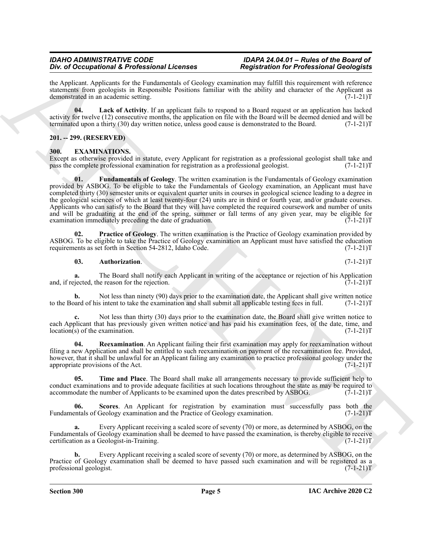#### *IDAHO ADMINISTRATIVE CODE IDAPA 24.04.01 – Rules of the Board of Div. of Occupational & Professional Licenses*

the Applicant. Applicants for the Fundamentals of Geology examination may fulfill this requirement with reference statements from geologists in Responsible Positions familiar with the ability and character of the Applicant as demonstrated in an academic setting. (7-1-21) demonstrated in an academic setting.

<span id="page-4-2"></span>**04. Lack of Activity**. If an applicant fails to respond to a Board request or an application has lacked activity for twelve (12) consecutive months, the application on file with the Board will be deemed denied and will be terminated upon a thirty (30) day written notice, unless good cause is demonstrated to the Board.  $(7-1$ terminated upon a thirty (30) day written notice, unless good cause is demonstrated to the Board.

#### <span id="page-4-0"></span>**201. -- 299. (RESERVED)**

#### <span id="page-4-3"></span><span id="page-4-1"></span>**300. EXAMINATIONS.**

<span id="page-4-5"></span>Except as otherwise provided in statute, every Applicant for registration as a professional geologist shall take and pass the complete professional examination for registration as a professional geologist. (7-1-21)T pass the complete professional examination for registration as a professional geologist.

For a Occupation's L. F. Principal materials of Contempts and the principal material in the principal material in the state of the contents of the contents of the contents of the contents of the contents of the contents o **01. Fundamentals of Geology**. The written examination is the Fundamentals of Geology examination provided by ASBOG. To be eligible to take the Fundamentals of Geology examination, an Applicant must have completed thirty (30) semester units or equivalent quarter units in courses in geological science leading to a degree in the geological sciences of which at least twenty-four (24) units are in third or fourth year, and/or graduate courses. Applicants who can satisfy to the Board that they will have completed the required coursework and number of units and will be graduating at the end of the spring, summer or fall terms of any given year, may be eligible for examination immediately preceding the date of graduation.  $(7-1-21)$ examination immediately preceding the date of graduation.

**02. Practice of Geology**. The written examination is the Practice of Geology examination provided by ASBOG. To be eligible to take the Practice of Geology examination an Applicant must have satisfied the education requirements as set forth in Section 54-2812, Idaho Code. (7-1-21) requirements as set forth in Section 54-2812, Idaho Code.

#### <span id="page-4-6"></span><span id="page-4-4"></span>**03. Authorization**. (7-1-21)T

**a.** The Board shall notify each Applicant in writing of the acceptance or rejection of his Application jected, the reason for the rejection. (7-1-21)T and, if rejected, the reason for the rejection.

**b.** Not less than ninety (90) days prior to the examination date, the Applicant shall give written notice and of his intent to take the examination and shall submit all applicable testing fees in full.  $(7-1-21)T$ to the Board of his intent to take the examination and shall submit all applicable testing fees in full.

Not less than thirty (30) days prior to the examination date, the Board shall give written notice to each Applicant that has previously given written notice and has paid his examination fees, of the date, time, and location(s) of the examination.  $(7-1-21)T$  $location(s)$  of the examination.

<span id="page-4-7"></span>**04. Reexamination**. An Applicant failing their first examination may apply for reexamination without filing a new Application and shall be entitled to such reexamination on payment of the reexamination fee. Provided, however, that it shall be unlawful for an Applicant failing any examination to practice professional geology under the appropriate provisions of the Act. (7-1-21)T

<span id="page-4-9"></span>**05. Time and Place**. The Board shall make all arrangements necessary to provide sufficient help to conduct examinations and to provide adequate facilities at such locations throughout the state as may be required to accommodate the number of Applicants to be examined upon the dates prescribed by ASBOG. (7-1-21)T accommodate the number of Applicants to be examined upon the dates prescribed by ASBOG.

<span id="page-4-8"></span>**06. Scores**. An Applicant for registration by examination must successfully pass both the Fundamentals of Geology examination and the Practice of Geology examination. (7-1-21) T

**a.** Every Applicant receiving a scaled score of seventy (70) or more, as determined by ASBOG, on the Fundamentals of Geology examination shall be deemed to have passed the examination, is thereby eligible to receive certification as a Geologist-in-Training. (7-1-21)T

**b.** Every Applicant receiving a scaled score of seventy (70) or more, as determined by ASBOG, on the Practice of Geology examination shall be deemed to have passed such examination and will be registered as a professional geologist. (7-1-21) professional geologist.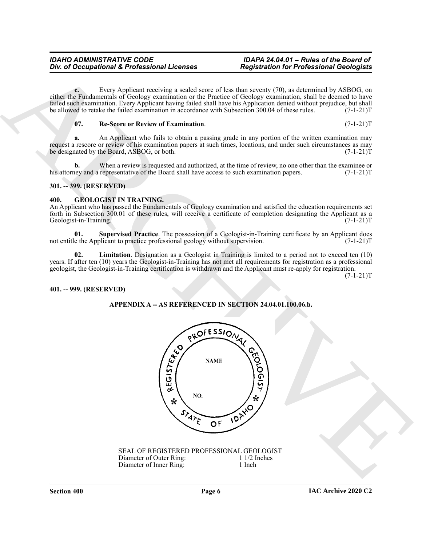**c.** Every Applicant receiving a scaled score of less than seventy (70), as determined by ASBOG, on either the Fundamentals of Geology examination or the Practice of Geology examination, shall be deemed to have failed such examination. Every Applicant having failed shall have his Application denied without prejudice, but shall be allowed to retake the failed examination in accordance with Subsection 300.04 of these rules.  $(7-1-21)$ T

#### <span id="page-5-3"></span>**07. Re-Score or Review of Examination**. (7-1-21)T

**a.** An Applicant who fails to obtain a passing grade in any portion of the written examination may request a rescore or review of his examination papers at such times, locations, and under such circumstances as may<br>be designated by the Board, ASBOG, or both.  $(7-1-21)T$ be designated by the Board, ASBOG, or both.

**b.** When a review is requested and authorized, at the time of review, no one other than the examinee or ney and a representative of the Board shall have access to such examination papers.  $(7-1-21)$ his attorney and a representative of the Board shall have access to such examination papers.

#### <span id="page-5-0"></span>**301. -- 399. (RESERVED)**

#### <span id="page-5-4"></span><span id="page-5-1"></span>**400. GEOLOGIST IN TRAINING.**

An Applicant who has passed the Fundamentals of Geology examination and satisfied the education requirements set forth in Subsection 300.01 of these rules, will receive a certificate of completion designating the Applicant as a Geologist-in-Training. (7-1-21) Geologist-in-Training.

<span id="page-5-6"></span>**01.** Supervised Practice. The possession of a Geologist-in-Training certificate by an Applicant does e the Applicant to practice professional geology without supervision. (7-1-21) not entitle the Applicant to practice professional geology without supervision.

<span id="page-5-5"></span>**02. Limitation**. Designation as a Geologist in Training is limited to a period not to exceed ten (10) years. If after ten (10) years the Geologist-in-Training has not met all requirements for registration as a professional geologist, the Geologist-in-Training certification is withdrawn and the Applicant must re-apply for registration.

 $(7-1-21)T$ 

#### <span id="page-5-2"></span>**401. -- 999. (RESERVED)**

#### **APPENDIX A -- AS REFERENCED IN SECTION 24.04.01.100.06.b.**



SEAL OF REGISTERED PROFESSIONAL GEOLOGIST<br>Diameter of Outer Ring: 1 1/2 Inches Diameter of Outer Ring: 1 1/2 I<br>Diameter of Inner Ring: 1 Inch Diameter of Inner Ring: